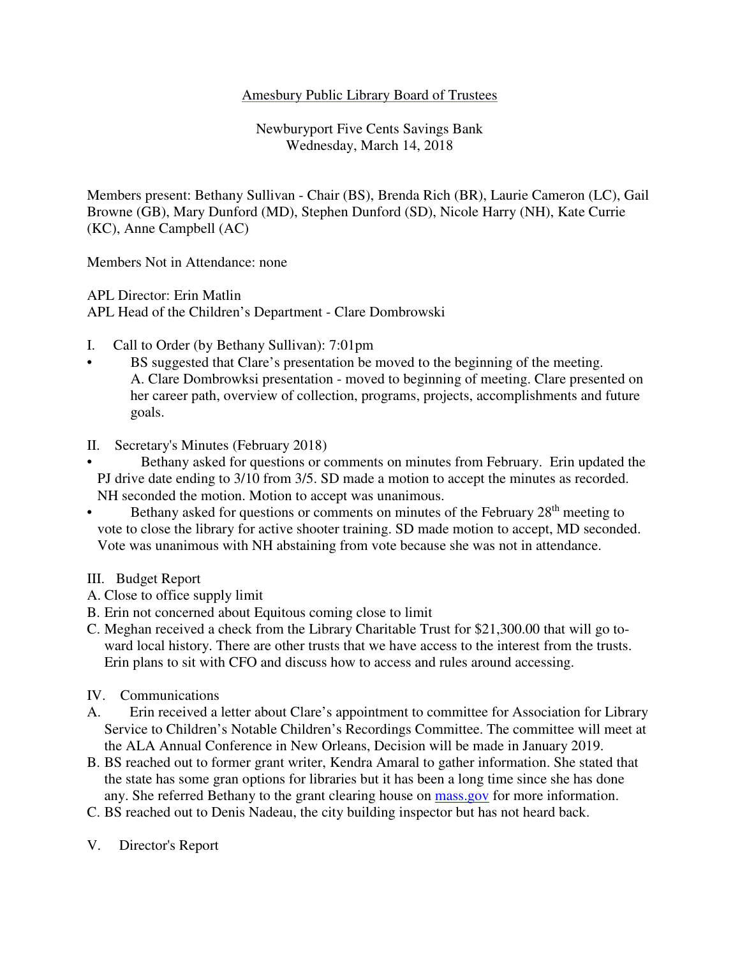## Amesbury Public Library Board of Trustees

Newburyport Five Cents Savings Bank Wednesday, March 14, 2018

Members present: Bethany Sullivan - Chair (BS), Brenda Rich (BR), Laurie Cameron (LC), Gail Browne (GB), Mary Dunford (MD), Stephen Dunford (SD), Nicole Harry (NH), Kate Currie (KC), Anne Campbell (AC)

Members Not in Attendance: none

APL Director: Erin Matlin

APL Head of the Children's Department - Clare Dombrowski

- I. Call to Order (by Bethany Sullivan): 7:01pm
- BS suggested that Clare's presentation be moved to the beginning of the meeting. A. Clare Dombrowksi presentation - moved to beginning of meeting. Clare presented on her career path, overview of collection, programs, projects, accomplishments and future goals.
- II. Secretary's Minutes (February 2018)
- Bethany asked for questions or comments on minutes from February. Erin updated the PJ drive date ending to 3/10 from 3/5. SD made a motion to accept the minutes as recorded. NH seconded the motion. Motion to accept was unanimous.
- Bethany asked for questions or comments on minutes of the February 28<sup>th</sup> meeting to vote to close the library for active shooter training. SD made motion to accept, MD seconded. Vote was unanimous with NH abstaining from vote because she was not in attendance.
- III. Budget Report
- A. Close to office supply limit
- B. Erin not concerned about Equitous coming close to limit
- C. Meghan received a check from the Library Charitable Trust for \$21,300.00 that will go toward local history. There are other trusts that we have access to the interest from the trusts. Erin plans to sit with CFO and discuss how to access and rules around accessing.
- IV. Communications
- A. Erin received a letter about Clare's appointment to committee for Association for Library Service to Children's Notable Children's Recordings Committee. The committee will meet at the ALA Annual Conference in New Orleans, Decision will be made in January 2019.
- B. BS reached out to former grant writer, Kendra Amaral to gather information. She stated that the state has some gran options for libraries but it has been a long time since she has done any. She referred Bethany to the grant clearing house on mass.gov for more information.
- C. BS reached out to Denis Nadeau, the city building inspector but has not heard back.
- V. Director's Report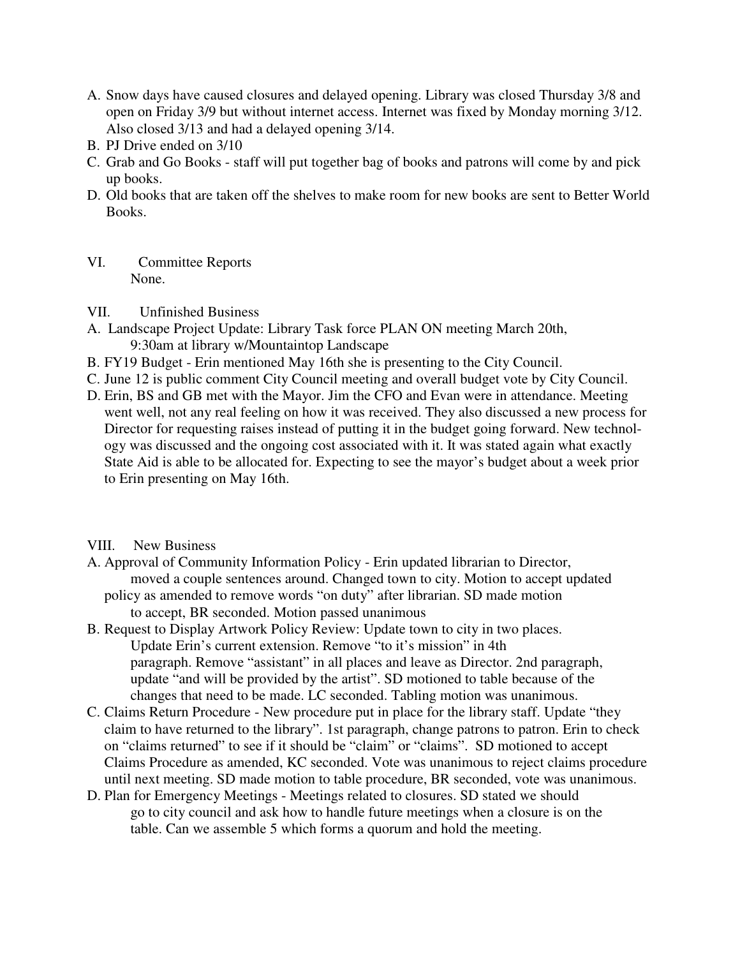- A. Snow days have caused closures and delayed opening. Library was closed Thursday 3/8 and open on Friday 3/9 but without internet access. Internet was fixed by Monday morning 3/12. Also closed 3/13 and had a delayed opening 3/14.
- B. PJ Drive ended on 3/10
- C. Grab and Go Books staff will put together bag of books and patrons will come by and pick up books.
- D. Old books that are taken off the shelves to make room for new books are sent to Better World Books.
- VI. Committee Reports None.
- VII. Unfinished Business
- A. Landscape Project Update: Library Task force PLAN ON meeting March 20th, 9:30am at library w/Mountaintop Landscape
- B. FY19 Budget Erin mentioned May 16th she is presenting to the City Council.
- C. June 12 is public comment City Council meeting and overall budget vote by City Council.
- D. Erin, BS and GB met with the Mayor. Jim the CFO and Evan were in attendance. Meeting went well, not any real feeling on how it was received. They also discussed a new process for Director for requesting raises instead of putting it in the budget going forward. New technology was discussed and the ongoing cost associated with it. It was stated again what exactly State Aid is able to be allocated for. Expecting to see the mayor's budget about a week prior to Erin presenting on May 16th.
- VIII. New Business
- A. Approval of Community Information Policy Erin updated librarian to Director, moved a couple sentences around. Changed town to city. Motion to accept updated
	- policy as amended to remove words "on duty" after librarian. SD made motion to accept, BR seconded. Motion passed unanimous
- B. Request to Display Artwork Policy Review: Update town to city in two places. Update Erin's current extension. Remove "to it's mission" in 4th paragraph. Remove "assistant" in all places and leave as Director. 2nd paragraph, update "and will be provided by the artist". SD motioned to table because of the changes that need to be made. LC seconded. Tabling motion was unanimous.
- C. Claims Return Procedure New procedure put in place for the library staff. Update "they claim to have returned to the library". 1st paragraph, change patrons to patron. Erin to check on "claims returned" to see if it should be "claim" or "claims". SD motioned to accept Claims Procedure as amended, KC seconded. Vote was unanimous to reject claims procedure until next meeting. SD made motion to table procedure, BR seconded, vote was unanimous.
- D. Plan for Emergency Meetings Meetings related to closures. SD stated we should go to city council and ask how to handle future meetings when a closure is on the table. Can we assemble 5 which forms a quorum and hold the meeting.